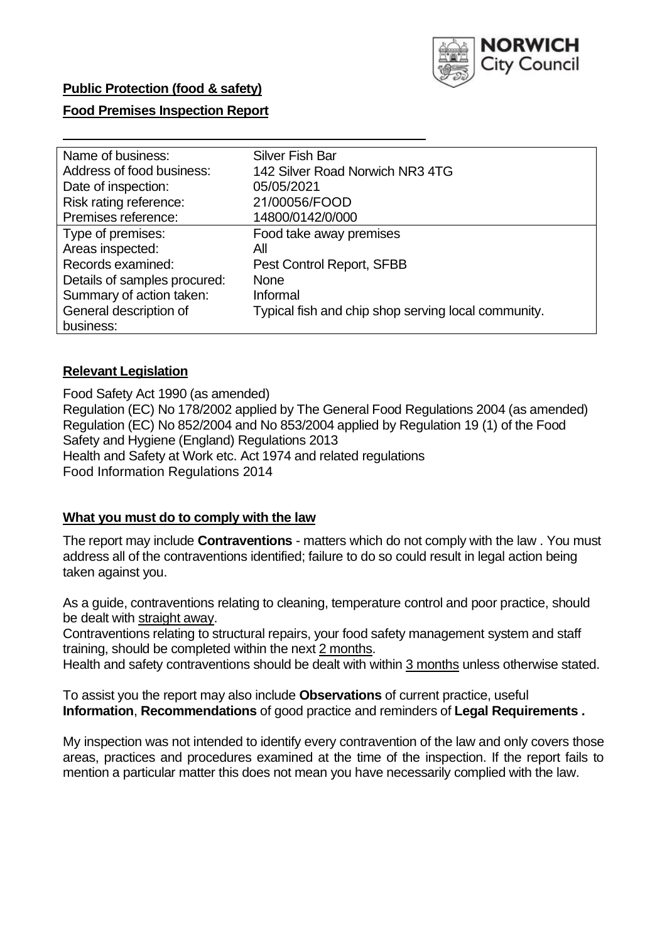

### **Public Protection (food & safety)**

#### **Food Premises Inspection Report**

| Name of business:            | <b>Silver Fish Bar</b>                              |
|------------------------------|-----------------------------------------------------|
| Address of food business:    | 142 Silver Road Norwich NR3 4TG                     |
| Date of inspection:          | 05/05/2021                                          |
| Risk rating reference:       | 21/00056/FOOD                                       |
| Premises reference:          | 14800/0142/0/000                                    |
| Type of premises:            | Food take away premises                             |
| Areas inspected:             | All                                                 |
| Records examined:            | Pest Control Report, SFBB                           |
| Details of samples procured: | <b>None</b>                                         |
| Summary of action taken:     | Informal                                            |
| General description of       | Typical fish and chip shop serving local community. |
| business:                    |                                                     |

#### **Relevant Legislation**

Food Safety Act 1990 (as amended) Regulation (EC) No 178/2002 applied by The General Food Regulations 2004 (as amended) Regulation (EC) No 852/2004 and No 853/2004 applied by Regulation 19 (1) of the Food Safety and Hygiene (England) Regulations 2013 Health and Safety at Work etc. Act 1974 and related regulations Food Information Regulations 2014

#### **What you must do to comply with the law**

The report may include **Contraventions** - matters which do not comply with the law . You must address all of the contraventions identified; failure to do so could result in legal action being taken against you.

As a guide, contraventions relating to cleaning, temperature control and poor practice, should be dealt with straight away.

Contraventions relating to structural repairs, your food safety management system and staff training, should be completed within the next 2 months.

Health and safety contraventions should be dealt with within 3 months unless otherwise stated.

To assist you the report may also include **Observations** of current practice, useful **Information**, **Recommendations** of good practice and reminders of **Legal Requirements .** 

My inspection was not intended to identify every contravention of the law and only covers those areas, practices and procedures examined at the time of the inspection. If the report fails to mention a particular matter this does not mean you have necessarily complied with the law.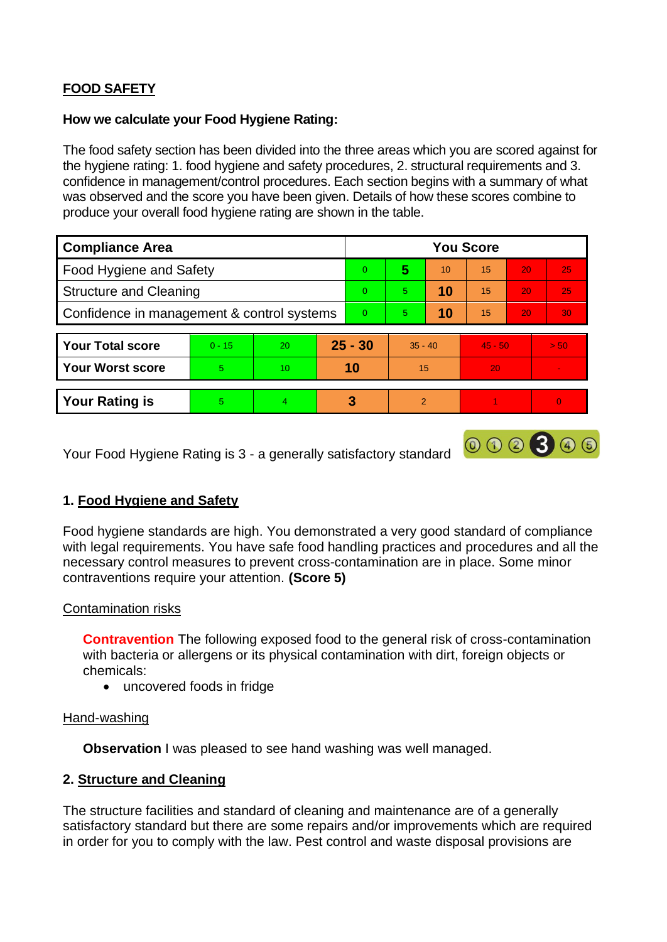# **FOOD SAFETY**

#### **How we calculate your Food Hygiene Rating:**

The food safety section has been divided into the three areas which you are scored against for the hygiene rating: 1. food hygiene and safety procedures, 2. structural requirements and 3. confidence in management/control procedures. Each section begins with a summary of what was observed and the score you have been given. Details of how these scores combine to produce your overall food hygiene rating are shown in the table.

| <b>Compliance Area</b>                     |          |           |           | <b>You Score</b> |                |    |           |    |                |  |  |
|--------------------------------------------|----------|-----------|-----------|------------------|----------------|----|-----------|----|----------------|--|--|
| Food Hygiene and Safety                    |          |           |           | $\Omega$         | 5              | 10 | 15        | 20 | 25             |  |  |
| <b>Structure and Cleaning</b>              |          |           | $\Omega$  | 5                | 10             | 15 | 20        | 25 |                |  |  |
| Confidence in management & control systems |          |           | $\Omega$  | 5                | 10             | 15 | 20        | 30 |                |  |  |
|                                            |          |           |           |                  |                |    |           |    |                |  |  |
| <b>Your Total score</b>                    | $0 - 15$ | <b>20</b> | $25 - 30$ |                  | $35 - 40$      |    | $45 - 50$ |    | > 50           |  |  |
| <b>Your Worst score</b>                    | 5        | 10        | 10        |                  | 15             |    | 20        |    | $\sim$         |  |  |
|                                            |          |           |           |                  |                |    |           |    |                |  |  |
| <b>Your Rating is</b>                      | 5        | 4         |           | 3                | $\overline{2}$ |    |           |    | $\overline{0}$ |  |  |

Your Food Hygiene Rating is 3 - a generally satisfactory standard

## **1. Food Hygiene and Safety**

Food hygiene standards are high. You demonstrated a very good standard of compliance with legal requirements. You have safe food handling practices and procedures and all the necessary control measures to prevent cross-contamination are in place. Some minor contraventions require your attention. **(Score 5)** 

000300

#### Contamination risks

**Contravention** The following exposed food to the general risk of cross-contamination with bacteria or allergens or its physical contamination with dirt, foreign objects or chemicals:

• uncovered foods in fridge

#### Hand-washing

**Observation** I was pleased to see hand washing was well managed.

## **2. Structure and Cleaning**

The structure facilities and standard of cleaning and maintenance are of a generally satisfactory standard but there are some repairs and/or improvements which are required in order for you to comply with the law. Pest control and waste disposal provisions are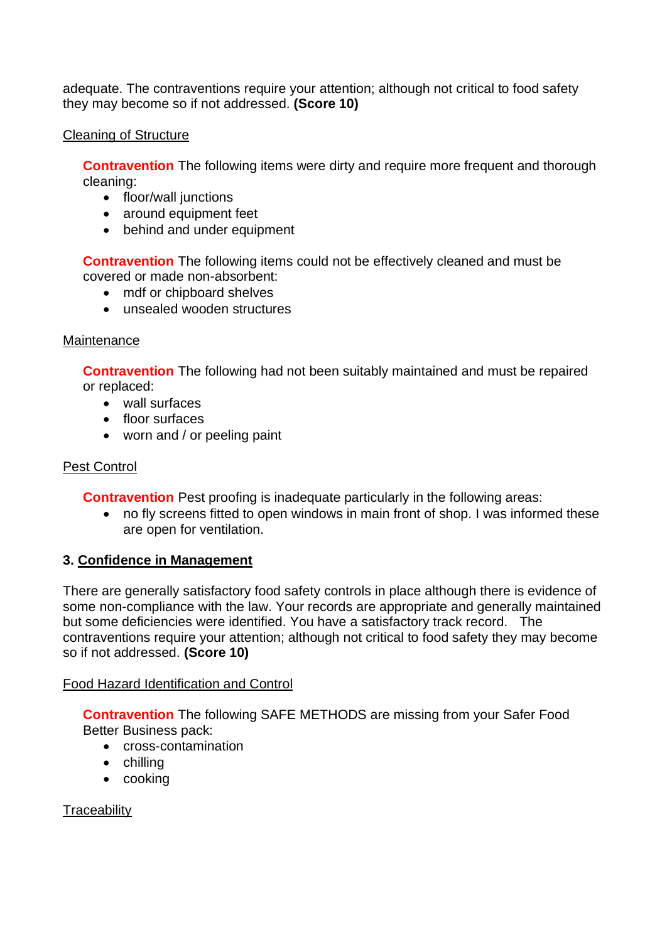adequate. The contraventions require your attention; although not critical to food safety they may become so if not addressed. **(Score 10)** 

### Cleaning of Structure

**Contravention** The following items were dirty and require more frequent and thorough cleaning:

- floor/wall junctions
- around equipment feet
- behind and under equipment

**Contravention** The following items could not be effectively cleaned and must be covered or made non-absorbent:

- mdf or chipboard shelves
- unsealed wooden structures

### **Maintenance**

**Contravention** The following had not been suitably maintained and must be repaired or replaced:

- wall surfaces
- floor surfaces
- worn and / or peeling paint

## Pest Control

**Contravention** Pest proofing is inadequate particularly in the following areas:

• no fly screens fitted to open windows in main front of shop. I was informed these are open for ventilation.

## **3. Confidence in Management**

There are generally satisfactory food safety controls in place although there is evidence of some non-compliance with the law. Your records are appropriate and generally maintained but some deficiencies were identified. You have a satisfactory track record. The contraventions require your attention; although not critical to food safety they may become so if not addressed. **(Score 10)** 

## Food Hazard Identification and Control

**Contravention** The following SAFE METHODS are missing from your Safer Food Better Business pack:

- cross-contamination
- chilling
- cooking

**Traceability**